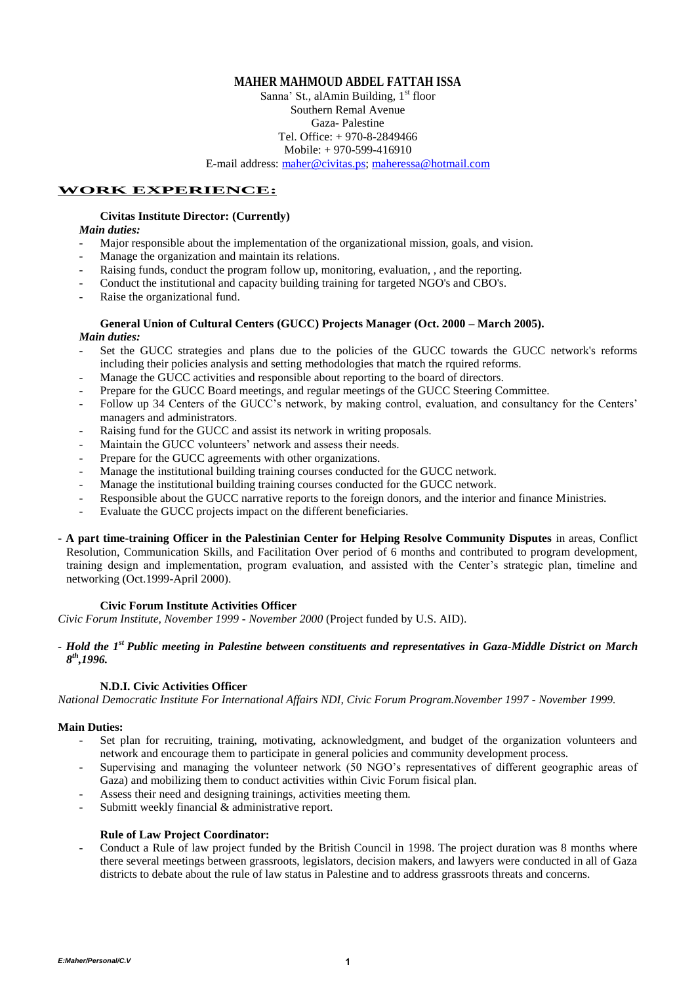### **MAHER MAHMOUD ABDEL FATTAH ISSA**

Sanna' St., al $A$ min Building,  $1<sup>st</sup>$  floor Southern Remal Avenue Gaza- Palestine Tel. Office: + 970-8-2849466 Mobile: + 970-599-416910

E-mail address: [maher@civitas.ps;](mailto:masher@civitas.p) [maheressa@hotmail.com](mailto:maheressa@hotmail.com)

### **WORK EXPERIENCE:**

### **Civitas Institute Director: (Currently)**

### *Main duties:*

- Major responsible about the implementation of the organizational mission, goals, and vision.
- Manage the organization and maintain its relations.
- Raising funds, conduct the program follow up, monitoring, evaluation, , and the reporting.
- Conduct the institutional and capacity building training for targeted NGO's and CBO's.
- Raise the organizational fund.

#### **General Union of Cultural Centers (GUCC) Projects Manager (Oct. 2000 – March 2005).** *Main duties:*

- Set the GUCC strategies and plans due to the policies of the GUCC towards the GUCC network's reforms including their policies analysis and setting methodologies that match the rquired reforms.
- Manage the GUCC activities and responsible about reporting to the board of directors.
- Prepare for the GUCC Board meetings, and regular meetings of the GUCC Steering Committee.
- Follow up 34 Centers of the GUCC's network, by making control, evaluation, and consultancy for the Centers' managers and administrators.
- Raising fund for the GUCC and assist its network in writing proposals.
- Maintain the GUCC volunteers' network and assess their needs.
- Prepare for the GUCC agreements with other organizations.
- Manage the institutional building training courses conducted for the GUCC network.
- Manage the institutional building training courses conducted for the GUCC network.
- Responsible about the GUCC narrative reports to the foreign donors, and the interior and finance Ministries.
- Evaluate the GUCC projects impact on the different beneficiaries.
- **- A part time-training Officer in the Palestinian Center for Helping Resolve Community Disputes** in areas, Conflict Resolution, Communication Skills, and Facilitation Over period of 6 months and contributed to program development, training design and implementation, program evaluation, and assisted with the Center's strategic plan, timeline and networking (Oct.1999-April 2000).

#### **Civic Forum Institute Activities Officer**

*Civic Forum Institute, November 1999 - November 2000* (Project funded by U.S. AID).

### *- Hold the 1st Public meeting in Palestine between constituents and representatives in Gaza-Middle District on March 8 th ,1996.*

### **N.D.I. Civic Activities Officer**

*National Democratic Institute For International Affairs NDI, Civic Forum Program.November 1997 - November 1999.*

### **Main Duties:**

- Set plan for recruiting, training, motivating, acknowledgment, and budget of the organization volunteers and network and encourage them to participate in general policies and community development process.
- Supervising and managing the volunteer network (50 NGO's representatives of different geographic areas of Gaza) and mobilizing them to conduct activities within Civic Forum fisical plan.
- Assess their need and designing trainings, activities meeting them.
- Submitt weekly financial & administrative report.

### **Rule of Law Project Coordinator:**

- Conduct a Rule of law project funded by the British Council in 1998. The project duration was 8 months where there several meetings between grassroots, legislators, decision makers, and lawyers were conducted in all of Gaza districts to debate about the rule of law status in Palestine and to address grassroots threats and concerns.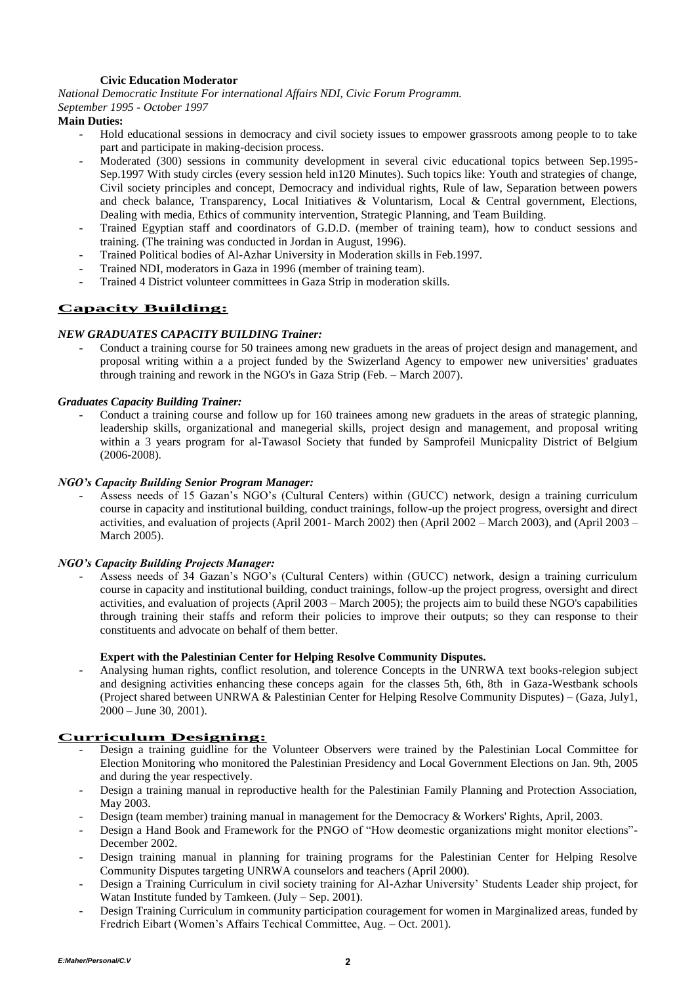## **Civic Education Moderator**

*National Democratic Institute For international Affairs NDI, Civic Forum Programm.*

#### *September 1995 - October 1997*

### **Main Duties:**

- Hold educational sessions in democracy and civil society issues to empower grassroots among people to to take part and participate in making-decision process.
- Moderated (300) sessions in community development in several civic educational topics between Sep.1995- Sep.1997 With study circles (every session held in120 Minutes). Such topics like: Youth and strategies of change, Civil society principles and concept, Democracy and individual rights, Rule of law, Separation between powers and check balance, Transparency, Local Initiatives & Voluntarism, Local & Central government, Elections, Dealing with media, Ethics of community intervention, Strategic Planning, and Team Building.
- Trained Egyptian staff and coordinators of G.D.D. (member of training team), how to conduct sessions and training. (The training was conducted in Jordan in August, 1996).
- Trained Political bodies of Al-Azhar University in Moderation skills in Feb.1997.
- Trained NDI, moderators in Gaza in 1996 (member of training team).
- Trained 4 District volunteer committees in Gaza Strip in moderation skills.

# **Capacity Building:**

### *NEW GRADUATES CAPACITY BUILDING Trainer:*

- Conduct a training course for 50 trainees among new graduets in the areas of project design and management, and proposal writing within a a project funded by the Swizerland Agency to empower new universities' graduates through training and rework in the NGO's in Gaza Strip (Feb. – March 2007).

### *Graduates Capacity Building Trainer:*

- Conduct a training course and follow up for 160 trainees among new graduets in the areas of strategic planning, leadership skills, organizational and manegerial skills, project design and management, and proposal writing within a 3 years program for al-Tawasol Society that funded by Samprofeil Municpality District of Belgium (2006-2008).

### *NGO's Capacity Building Senior Program Manager:*

- Assess needs of 15 Gazan's NGO's (Cultural Centers) within (GUCC) network, design a training curriculum course in capacity and institutional building, conduct trainings, follow-up the project progress, oversight and direct activities, and evaluation of projects (April 2001- March 2002) then (April 2002 – March 2003), and (April 2003 – March 2005).

### *NGO's Capacity Building Projects Manager:*

Assess needs of 34 Gazan's NGO's (Cultural Centers) within (GUCC) network, design a training curriculum course in capacity and institutional building, conduct trainings, follow-up the project progress, oversight and direct activities, and evaluation of projects (April 2003 – March 2005); the projects aim to build these NGO's capabilities through training their staffs and reform their policies to improve their outputs; so they can response to their constituents and advocate on behalf of them better.

### **Expert with the Palestinian Center for Helping Resolve Community Disputes.**

- Analysing human rights, conflict resolution, and tolerence Concepts in the UNRWA text books-relegion subject and designing activities enhancing these conceps again for the classes 5th, 6th, 8th in Gaza-Westbank schools (Project shared between UNRWA & Palestinian Center for Helping Resolve Community Disputes) – (Gaza, July1,  $2000 -$  June 30, 2001).

## **Curriculum Designing:**

- Design a training guidline for the Volunteer Observers were trained by the Palestinian Local Committee for Election Monitoring who monitored the Palestinian Presidency and Local Government Elections on Jan. 9th, 2005 and during the year respectively.
- Design a training manual in reproductive health for the Palestinian Family Planning and Protection Association, May 2003.
- Design (team member) training manual in management for the Democracy & Workers' Rights, April, 2003.
- Design a Hand Book and Framework for the PNGO of "How deomestic organizations might monitor elections"-December 2002.
- Design training manual in planning for training programs for the Palestinian Center for Helping Resolve Community Disputes targeting UNRWA counselors and teachers (April 2000).
- Design a Training Curriculum in civil society training for Al-Azhar University' Students Leader ship project, for Watan Institute funded by Tamkeen. (July – Sep. 2001).
- Design Training Curriculum in community participation couragement for women in Marginalized areas, funded by Fredrich Eibart (Women's Affairs Techical Committee, Aug. – Oct. 2001).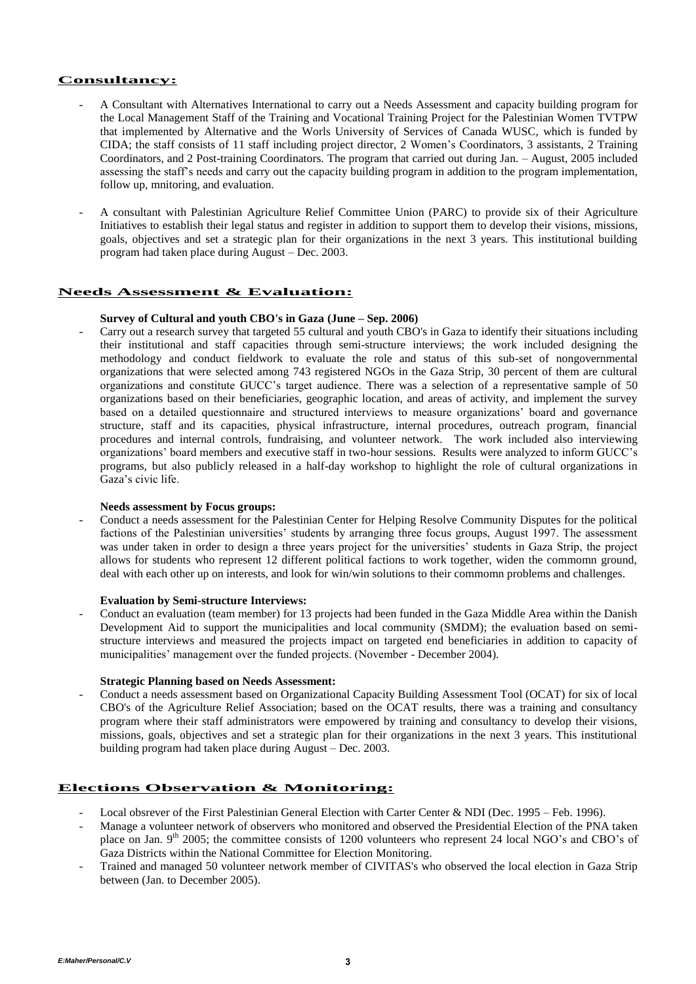### **Consultancy:**

- A Consultant with Alternatives International to carry out a Needs Assessment and capacity building program for the Local Management Staff of the Training and Vocational Training Project for the Palestinian Women TVTPW that implemented by Alternative and the Worls University of Services of Canada WUSC, which is funded by CIDA; the staff consists of 11 staff including project director, 2 Women's Coordinators, 3 assistants, 2 Training Coordinators, and 2 Post-training Coordinators. The program that carried out during Jan. – August, 2005 included assessing the staff's needs and carry out the capacity building program in addition to the program implementation, follow up, mnitoring, and evaluation.
- A consultant with Palestinian Agriculture Relief Committee Union (PARC) to provide six of their Agriculture Initiatives to establish their legal status and register in addition to support them to develop their visions, missions, goals, objectives and set a strategic plan for their organizations in the next 3 years. This institutional building program had taken place during August – Dec. 2003.

### **Needs Assessment & Evaluation:**

## **Survey of Cultural and youth CBO's in Gaza (June – Sep. 2006)**

- Carry out a research survey that targeted 55 cultural and youth CBO's in Gaza to identify their situations including their institutional and staff capacities through semi-structure interviews; the work included designing the methodology and conduct fieldwork to evaluate the role and status of this sub-set of nongovernmental organizations that were selected among 743 registered NGOs in the Gaza Strip, 30 percent of them are cultural organizations and constitute GUCC's target audience. There was a selection of a representative sample of 50 organizations based on their beneficiaries, geographic location, and areas of activity, and implement the survey based on a detailed questionnaire and structured interviews to measure organizations' board and governance structure, staff and its capacities, physical infrastructure, internal procedures, outreach program, financial procedures and internal controls, fundraising, and volunteer network. The work included also interviewing organizations' board members and executive staff in two-hour sessions. Results were analyzed to inform GUCC's programs, but also publicly released in a half-day workshop to highlight the role of cultural organizations in Gaza's civic life.

#### **Needs assessment by Focus groups:**

- Conduct a needs assessment for the Palestinian Center for Helping Resolve Community Disputes for the political factions of the Palestinian universities' students by arranging three focus groups, August 1997. The assessment was under taken in order to design a three years project for the universities' students in Gaza Strip, the project allows for students who represent 12 different political factions to work together, widen the commomn ground, deal with each other up on interests, and look for win/win solutions to their commomn problems and challenges.

#### **Evaluation by Semi-structure Interviews:**

Conduct an evaluation (team member) for 13 projects had been funded in the Gaza Middle Area within the Danish Development Aid to support the municipalities and local community (SMDM); the evaluation based on semistructure interviews and measured the projects impact on targeted end beneficiaries in addition to capacity of municipalities' management over the funded projects. (November - December 2004).

#### **Strategic Planning based on Needs Assessment:**

- Conduct a needs assessment based on Organizational Capacity Building Assessment Tool (OCAT) for six of local CBO's of the Agriculture Relief Association; based on the OCAT results, there was a training and consultancy program where their staff administrators were empowered by training and consultancy to develop their visions, missions, goals, objectives and set a strategic plan for their organizations in the next 3 years. This institutional building program had taken place during August – Dec. 2003.

### **Elections Observation & Monitoring:**

- Local obsrever of the First Palestinian General Election with Carter Center & NDI (Dec. 1995 Feb. 1996).
- Manage a volunteer network of observers who monitored and observed the Presidential Election of the PNA taken place on Jan. 9<sup>th</sup> 2005; the committee consists of 1200 volunteers who represent 24 local NGO's and CBO's of Gaza Districts within the National Committee for Election Monitoring.
- Trained and managed 50 volunteer network member of CIVITAS's who observed the local election in Gaza Strip between (Jan. to December 2005).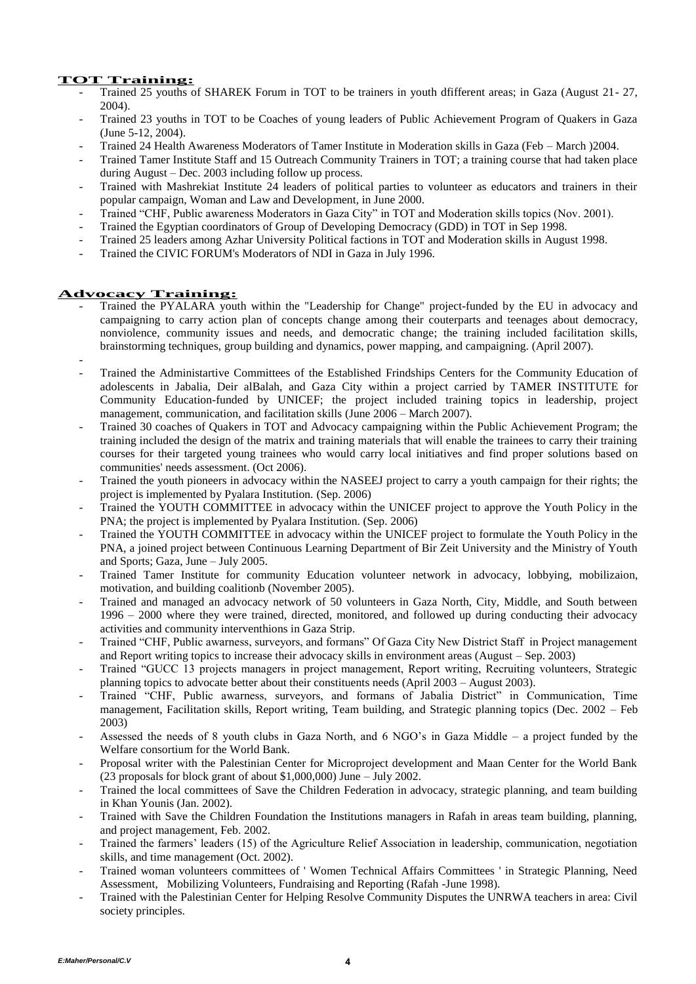## **TOT Training:**

- Trained 25 youths of SHAREK Forum in TOT to be trainers in youth dfifferent areas; in Gaza (August 21- 27, 2004).
- Trained 23 youths in TOT to be Coaches of young leaders of Public Achievement Program of Quakers in Gaza (June 5-12, 2004).
- Trained 24 Health Awareness Moderators of Tamer Institute in Moderation skills in Gaza (Feb March )2004.
- Trained Tamer Institute Staff and 15 Outreach Community Trainers in TOT; a training course that had taken place during August – Dec. 2003 including follow up process.
- Trained with Mashrekiat Institute 24 leaders of political parties to volunteer as educators and trainers in their popular campaign, Woman and Law and Development, in June 2000.
- Trained "CHF, Public awareness Moderators in Gaza City" in TOT and Moderation skills topics (Nov. 2001).
- Trained the Egyptian coordinators of Group of Developing Democracy (GDD) in TOT in Sep 1998.
- Trained 25 leaders among Azhar University Political factions in TOT and Moderation skills in August 1998.
- Trained the CIVIC FORUM's Moderators of NDI in Gaza in July 1996.

## **Advocacy Training:**

- Trained the PYALARA youth within the "Leadership for Change" project-funded by the EU in advocacy and campaigning to carry action plan of concepts change among their couterparts and teenages about democracy, nonviolence, community issues and needs, and democratic change; the training included facilitation skills, brainstorming techniques, group building and dynamics, power mapping, and campaigning. (April 2007).
- - Trained the Administartive Committees of the Established Frindships Centers for the Community Education of adolescents in Jabalia, Deir alBalah, and Gaza City within a project carried by TAMER INSTITUTE for Community Education-funded by UNICEF; the project included training topics in leadership, project management, communication, and facilitation skills (June 2006 – March 2007).
- Trained 30 coaches of Quakers in TOT and Advocacy campaigning within the Public Achievement Program; the training included the design of the matrix and training materials that will enable the trainees to carry their training courses for their targeted young trainees who would carry local initiatives and find proper solutions based on communities' needs assessment. (Oct 2006).
- Trained the youth pioneers in advocacy within the NASEEJ project to carry a youth campaign for their rights; the project is implemented by Pyalara Institution. (Sep. 2006)
- Trained the YOUTH COMMITTEE in advocacy within the UNICEF project to approve the Youth Policy in the PNA; the project is implemented by Pyalara Institution. (Sep. 2006)
- Trained the YOUTH COMMITTEE in advocacy within the UNICEF project to formulate the Youth Policy in the PNA, a joined project between Continuous Learning Department of Bir Zeit University and the Ministry of Youth and Sports; Gaza, June – July 2005.
- Trained Tamer Institute for community Education volunteer network in advocacy, lobbying, mobilizaion, motivation, and building coalitionb (November 2005).
- Trained and managed an advocacy network of 50 volunteers in Gaza North, City, Middle, and South between 1996 – 2000 where they were trained, directed, monitored, and followed up during conducting their advocacy activities and community interventhions in Gaza Strip.
- Trained "CHF, Public awarness, surveyors, and formans" Of Gaza City New District Staff in Project management and Report writing topics to increase their advocacy skills in environment areas (August – Sep. 2003)
- Trained "GUCC 13 projects managers in project management, Report writing, Recruiting volunteers, Strategic planning topics to advocate better about their constituents needs (April 2003 – August 2003).
- Trained "CHF, Public awarness, surveyors, and formans of Jabalia District" in Communication, Time management, Facilitation skills, Report writing, Team building, and Strategic planning topics (Dec. 2002 – Feb 2003)
- Assessed the needs of 8 youth clubs in Gaza North, and 6 NGO's in Gaza Middle a project funded by the Welfare consortium for the World Bank.
- Proposal writer with the Palestinian Center for Microproject development and Maan Center for the World Bank (23 proposals for block grant of about \$1,000,000) June – July 2002.
- Trained the local committees of Save the Children Federation in advocacy, strategic planning, and team building in Khan Younis (Jan. 2002).
- Trained with Save the Children Foundation the Institutions managers in Rafah in areas team building, planning, and project management, Feb. 2002.
- Trained the farmers' leaders (15) of the Agriculture Relief Association in leadership, communication, negotiation skills, and time management (Oct. 2002).
- Trained woman volunteers committees of ' Women Technical Affairs Committees ' in Strategic Planning, Need Assessment, Mobilizing Volunteers, Fundraising and Reporting (Rafah -June 1998).
- Trained with the Palestinian Center for Helping Resolve Community Disputes the UNRWA teachers in area: Civil society principles.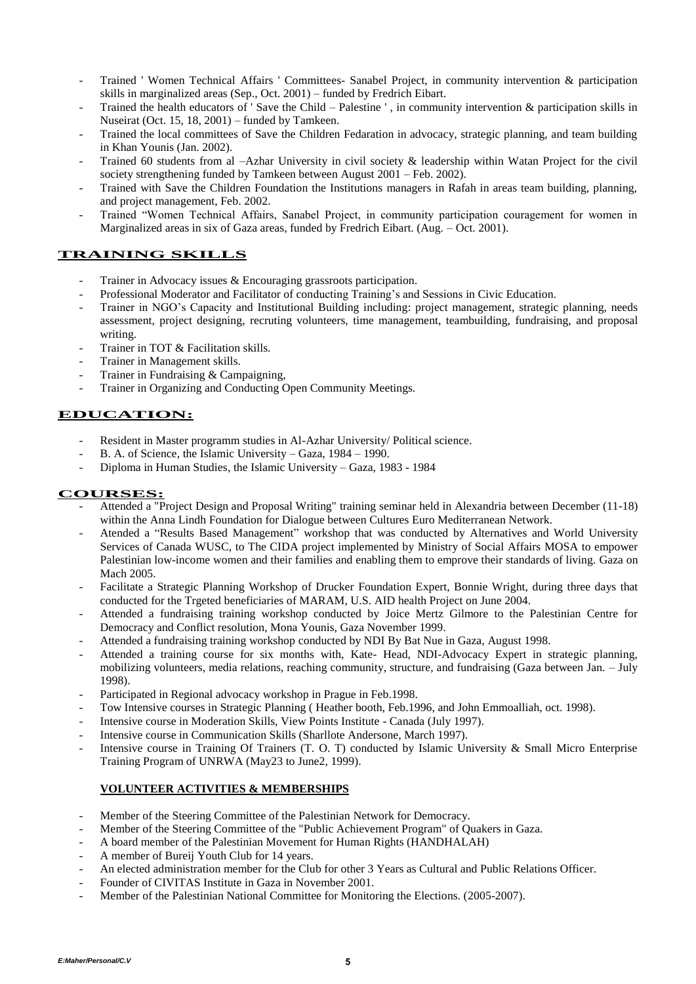- Trained ' Women Technical Affairs ' Committees- Sanabel Project, in community intervention & participation skills in marginalized areas (Sep., Oct. 2001) – funded by Fredrich Eibart.
- Trained the health educators of ' Save the Child Palestine ', in community intervention & participation skills in Nuseirat (Oct. 15, 18, 2001) – funded by Tamkeen.
- Trained the local committees of Save the Children Fedaration in advocacy, strategic planning, and team building in Khan Younis (Jan. 2002).
- Trained 60 students from al –Azhar University in civil society & leadership within Watan Project for the civil society strengthening funded by Tamkeen between August 2001 – Feb. 2002).
- Trained with Save the Children Foundation the Institutions managers in Rafah in areas team building, planning, and project management, Feb. 2002.
- Trained "Women Technical Affairs, Sanabel Project, in community participation couragement for women in Marginalized areas in six of Gaza areas, funded by Fredrich Eibart. (Aug. – Oct. 2001).

# **TRAINING SKILLS**

- Trainer in Advocacy issues & Encouraging grassroots participation.
- Professional Moderator and Facilitator of conducting Training's and Sessions in Civic Education.
- Trainer in NGO's Capacity and Institutional Building including: project management, strategic planning, needs assessment, project designing, recruting volunteers, time management, teambuilding, fundraising, and proposal writing.
- Trainer in TOT & Facilitation skills.
- Trainer in Management skills.
- Trainer in Fundraising & Campaigning,
- Trainer in Organizing and Conducting Open Community Meetings.

# **EDUCATION:**

- Resident in Master programm studies in Al-Azhar University/ Political science.
- B. A. of Science, the Islamic University Gaza, 1984 1990.
- Diploma in Human Studies, the Islamic University Gaza, 1983 1984

### **COURSES:**

- Attended a "Project Design and Proposal Writing" training seminar held in Alexandria between December (11-18) within the Anna Lindh Foundation for Dialogue between Cultures Euro Mediterranean Network.
- Atended a "Results Based Management" workshop that was conducted by Alternatives and World University Services of Canada WUSC, to The CIDA project implemented by Ministry of Social Affairs MOSA to empower Palestinian low-income women and their families and enabling them to emprove their standards of living. Gaza on Mach 2005.
- Facilitate a Strategic Planning Workshop of Drucker Foundation Expert, Bonnie Wright, during three days that conducted for the Trgeted beneficiaries of MARAM, U.S. AID health Project on June 2004.
- Attended a fundraising training workshop conducted by Joice Mertz Gilmore to the Palestinian Centre for Democracy and Conflict resolution, Mona Younis, Gaza November 1999.
- Attended a fundraising training workshop conducted by NDI By Bat Nue in Gaza, August 1998.
- Attended a training course for six months with, Kate- Head, NDI-Advocacy Expert in strategic planning, mobilizing volunteers, media relations, reaching community, structure, and fundraising (Gaza between Jan. – July 1998).
- Participated in Regional advocacy workshop in Prague in Feb.1998.
- Tow Intensive courses in Strategic Planning (Heather booth, Feb.1996, and John Emmoalliah, oct. 1998).
- Intensive course in Moderation Skills, View Points Institute Canada (July 1997).
- Intensive course in Communication Skills (Sharllote Andersone, March 1997).
- Intensive course in Training Of Trainers (T. O. T) conducted by Islamic University & Small Micro Enterprise Training Program of UNRWA (May23 to June2, 1999).

### **VOLUNTEER ACTIVITIES & MEMBERSHIPS**

- Member of the Steering Committee of the Palestinian Network for Democracy.
- Member of the Steering Committee of the "Public Achievement Program" of Quakers in Gaza.
- A board member of the Palestinian Movement for Human Rights (HANDHALAH)
- A member of Bureij Youth Club for 14 years.
- An elected administration member for the Club for other 3 Years as Cultural and Public Relations Officer.
- Founder of CIVITAS Institute in Gaza in November 2001.
- Member of the Palestinian National Committee for Monitoring the Elections. (2005-2007).